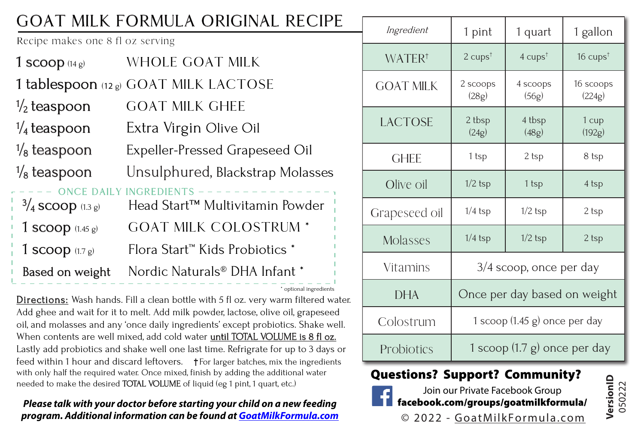## GOAT MILK FORMULA ORIGINAL RECIPE

Recipe makes one 8 fl oz serving

| 1 scoop $(14g)$        | WHOLE GOAT MILK                                                 |
|------------------------|-----------------------------------------------------------------|
|                        | <b>1 tablespoon</b> (12g) GOAT MILK LACTOSE                     |
| $\frac{1}{2}$ teaspoon | GOAT MILK GHEE                                                  |
| $\frac{1}{4}$ teaspoon | Extra Virgin Olive Oil                                          |
| $\frac{1}{8}$ teaspoon | Expeller-Pressed Grapeseed Oil                                  |
| $\frac{1}{8}$ teaspoon | Unsulphured, Blackstrap Molasses                                |
| $3/4$ scoop (1.3 g)    | <b>NCE DAILY INGREDIENTS</b><br>Head Start™ Multivitamin Powder |
| 1 scoop $(1.45g)$      | <b>GOAT MILK COLOSTRUM *</b>                                    |
| 1 scoop $(1.7g)$       | Flora Start <sup>™</sup> Kids Probiotics *                      |
| Based on weight        | Nordic Naturals® DHA Infant *                                   |
|                        | * ontional ingredients                                          |

Directions: Wash hands. Fill a clean bottle with 5 fl oz. very warm filtered water. Add ghee and wait for it to melt. Add milk powder, lactose, olive oil, grapeseed oil, and molasses and any 'once daily ingredients' except probiotics. Shake well. When contents are well mixed, add cold water until TOTAL VOLUME is 8 fl oz. Lastly add probiotics and shake well one last time. Refrigrate for up to 3 days or feed within 1 hour and discard leftovers.  $\uparrow$  For larger batches, mix the ingredients with only half the required water. Once mixed, finish by adding the additional water needed to make the desired TOTAL VOLUME of liquid (eg 1 pint, 1 quart, etc.)

**Please talk with your doctor before starting your child on a new feeding program. Additional information can be found at GoatMilkFormula.com**

| Ingredient         | 1 pint                                  | 1 quart                    | 1 gallon            |  |  |
|--------------------|-----------------------------------------|----------------------------|---------------------|--|--|
| WATER <sup>+</sup> | $2 \text{ cups}^{\dagger}$              | $4 \text{ cups}^{\dagger}$ | 16 $cups^{\dagger}$ |  |  |
| <b>GOAT MILK</b>   | 2 scoops<br>(28g)                       | 4 scoops<br>(56g)          | 16 scoops<br>(224g) |  |  |
| LACTOSE            | 2 tbsp<br>(24g)                         | 4 tbsp<br>(48g)            | 1 cup<br>(192g)     |  |  |
| GHEE               | 1 tsp                                   | 2 tsp                      | 8 tsp               |  |  |
| Olive oil          | $1/2$ tsp                               | 1 tsp                      | 4 tsp               |  |  |
| Grapeseed oil      | $1/4$ tsp                               | $1/2$ tsp                  | 2 tsp               |  |  |
| Molasses           | $1/4$ tsp                               | $1/2$ tsp                  | 2 tsp               |  |  |
| Vitamins           | 3/4 scoop, once per day                 |                            |                     |  |  |
| <b>DHA</b>         | Once per day based on weight            |                            |                     |  |  |
| Colostrum          | 1 scoop $(1.45 \text{ g})$ once per day |                            |                     |  |  |
| Probiotics         | 1 scoop $(1.7 \text{ g})$ once per day  |                            |                     |  |  |

## Questions? Support? Community?



facebook.com/groups/goatmilkformula/ Join our Private Facebook Group

**VersionID** 050222

© 2022 - GoatMilkFormula.com